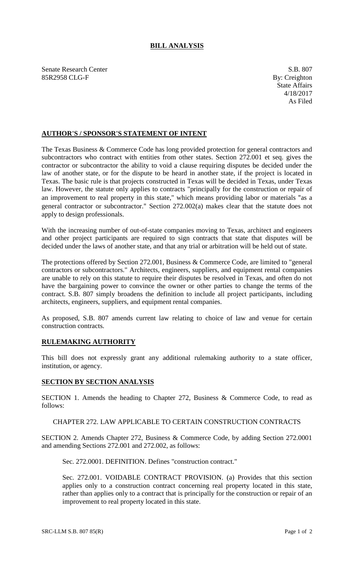# **BILL ANALYSIS**

Senate Research Center S.B. 807 85R2958 CLG-F By: Creighton

# **AUTHOR'S / SPONSOR'S STATEMENT OF INTENT**

The Texas Business & Commerce Code has long provided protection for general contractors and subcontractors who contract with entities from other states. Section 272.001 et seq. gives the contractor or subcontractor the ability to void a clause requiring disputes be decided under the law of another state, or for the dispute to be heard in another state, if the project is located in Texas. The basic rule is that projects constructed in Texas will be decided in Texas, under Texas law. However, the statute only applies to contracts "principally for the construction or repair of an improvement to real property in this state," which means providing labor or materials "as a general contractor or subcontractor." Section 272.002(a) makes clear that the statute does not apply to design professionals.

With the increasing number of out-of-state companies moving to Texas, architect and engineers and other project participants are required to sign contracts that state that disputes will be decided under the laws of another state, and that any trial or arbitration will be held out of state.

The protections offered by Section 272.001, Business & Commerce Code, are limited to "general contractors or subcontractors." Architects, engineers, suppliers, and equipment rental companies are unable to rely on this statute to require their disputes be resolved in Texas, and often do not have the bargaining power to convince the owner or other parties to change the terms of the contract. S.B. 807 simply broadens the definition to include all project participants, including architects, engineers, suppliers, and equipment rental companies.

As proposed, S.B. 807 amends current law relating to choice of law and venue for certain construction contracts.

### **RULEMAKING AUTHORITY**

This bill does not expressly grant any additional rulemaking authority to a state officer, institution, or agency.

### **SECTION BY SECTION ANALYSIS**

SECTION 1. Amends the heading to Chapter 272, Business & Commerce Code, to read as follows:

### CHAPTER 272. LAW APPLICABLE TO CERTAIN CONSTRUCTION CONTRACTS

SECTION 2. Amends Chapter 272, Business & Commerce Code, by adding Section 272.0001 and amending Sections 272.001 and 272.002, as follows:

Sec. 272.0001. DEFINITION. Defines "construction contract."

Sec. 272.001. VOIDABLE CONTRACT PROVISION. (a) Provides that this section applies only to a construction contract concerning real property located in this state, rather than applies only to a contract that is principally for the construction or repair of an improvement to real property located in this state.